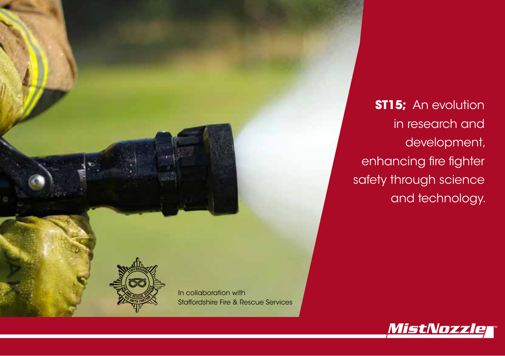

**ST15; An evolution** in research and development, enhancing fire fighter safety through science and technology.

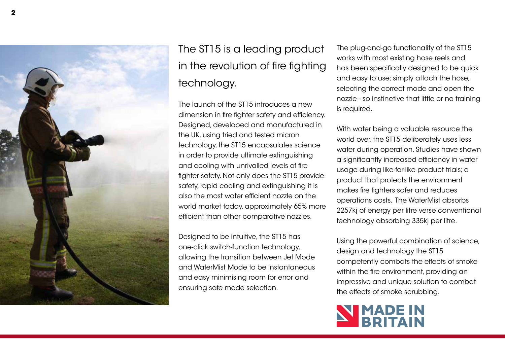

# The ST15 is a leading product in the revolution of fire fighting technology.

The launch of the ST15 introduces a new dimension in fire fighter safety and efficiency. Designed, developed and manufactured in the UK, using tried and tested micron technology, the ST15 encapsulates science in order to provide ultimate extinguishing and cooling with unrivalled levels of fire fighter safety. Not only does the ST15 provide safety, rapid cooling and extinguishing it is also the most water efficient nozzle on the world market today, approximately 65% more efficient than other comparative nozzles.

Designed to be intuitive, the ST15 has one-click switch-function technology, allowing the transition between Jet Mode and WaterMist Mode to be instantaneous and easy minimising room for error and ensuring safe mode selection.

The plug-and-go functionality of the ST15 works with most existing hose reels and has been specifically designed to be quick and easy to use; simply attach the hose, selecting the correct mode and open the nozzle - so instinctive that little or no training is required.

With water being a valuable resource the world over, the ST15 deliberately uses less water during operation. Studies have shown a significantly increased efficiency in water usage during like-for-like product trials; a product that protects the environment makes fire fighters safer and reduces operations costs. The WaterMist absorbs 2257kj of energy per litre verse conventional technology absorbing 335kj per litre.

Using the powerful combination of science, design and technology the ST15 competently combats the effects of smoke within the fire environment, providing an impressive and unique solution to combat the effects of smoke scrubbing.

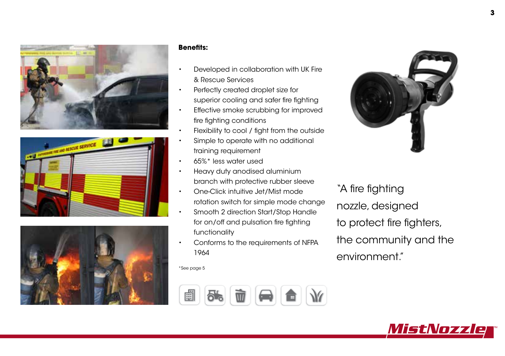





#### **Benefits:**

- Developed in collaboration with UK Fire & Rescue Services
- Perfectly created droplet size for superior cooling and safer fire fighting
- Effective smoke scrubbing for improved fire fighting conditions
- Flexibility to cool / fight from the outside
- Simple to operate with no additional training requirement
- 65%\* less water used
- Heavy duty anodised aluminium branch with protective rubber sleeve
- One-Click intuitive Jet/Mist mode rotation switch for simple mode change
- Smooth 2 direction Start/Stop Handle for on/off and pulsation fire fighting functionality
- Conforms to the requirements of NFPA 1964

\*See page 5





"A fire fighting nozzle, designed to protect fire fighters, the community and the environment."

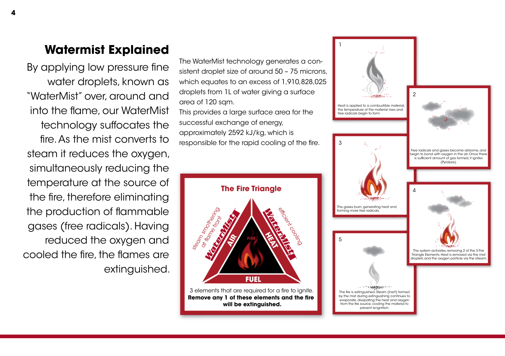## **Watermist Explained**

By applying low pressure fine water droplets, known as "WaterMist" over, around and into the flame, our WaterMist technology suffocates the fire. As the mist converts to steam it reduces the oxygen, simultaneously reducing the temperature at the source of the fire, therefore eliminating the production of flammable gases (free radicals). Having reduced the oxygen and cooled the fire, the flames are extinguished. The WaterMist technology generates a consistent droplet size of around 50 – 75 microns, which equates to an excess of 1,910,828,025 droplets from 1L of water giving a surface area of 120 sqm.

This provides a large surface area for the successful exchange of energy, approximately 2592 kJ/kg, which is responsible for the rapid cooling of the fire.



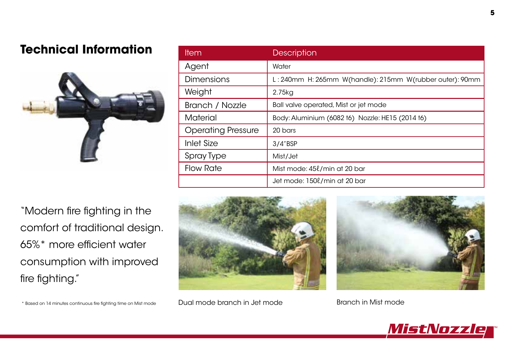## **Technical Information**



| <b>Item</b>               | <b>Description</b>                                       |  |  |  |
|---------------------------|----------------------------------------------------------|--|--|--|
| Agent                     | Water                                                    |  |  |  |
| <b>Dimensions</b>         | L: 240mm H: 265mm W(handle): 215mm W(rubber outer): 90mm |  |  |  |
| Weight                    | 2.75kg                                                   |  |  |  |
| Branch / Nozzle           | Ball valve operated, Mist or jet mode                    |  |  |  |
| Material                  | Body: Aluminium (6082 t6) Nozzle: HE15 (2014 t6)         |  |  |  |
| <b>Operating Pressure</b> | 20 bars                                                  |  |  |  |
| Inlet Size                | $3/4$ "BSP                                               |  |  |  |
| <b>Spray Type</b>         | Mist/Jet                                                 |  |  |  |
| <b>Flow Rate</b>          | Mist mode: 458/min at 20 bar                             |  |  |  |
|                           | Jet mode: 150 $\ell$ /min at 20 bar                      |  |  |  |

"Modern fire fighting in the comfort of traditional design. 65%\* more efficient water consumption with improved fire fighting."

\* Based on 14 minutes continuous fire fighting time on Mist mode



Dual mode branch in Jet mode Branch in Mist mode



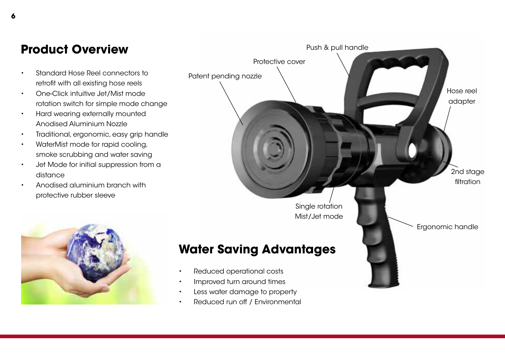## **Product Overview**

- Standard Hose Reel connectors to retrofit with all existing hose reels
- • One-Click intuitive Jet/Mist mode rotation switch for simple mode change
- Hard wearing externally mounted Anodised Aluminium Nozzle
- Traditional, ergonomic, easy grip handle
- WaterMist mode for rapid cooling, smoke scrubbing and water saving
- • Jet Mode for initial suppression from a distance
- Anodised aluminium branch with protective rubber sleeve



- Less water damage to property
- Reduced run off / Environmental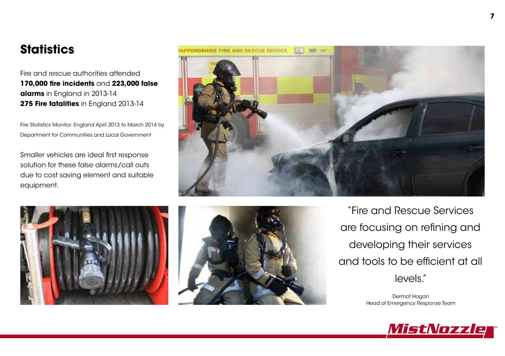## **Statistics**

Fire and rescue authorities attended **170,000 fire incidents** and **223,000 false alarms** in England in 2013-14 **275 Fire fatalities** in England 2013-14

Fire Statistics Monitor: England April 2013 to March 2014 by Department for Communities and Local Government

Smaller vehicles are ideal first response solution for these false alarms/call outs due to cost saving element and suitable equipment.







"Fire and Rescue Services are focusing on refining and developing their services and tools to be efficient at all levels."

> Dermot Hogan Head of Emergency Response Team